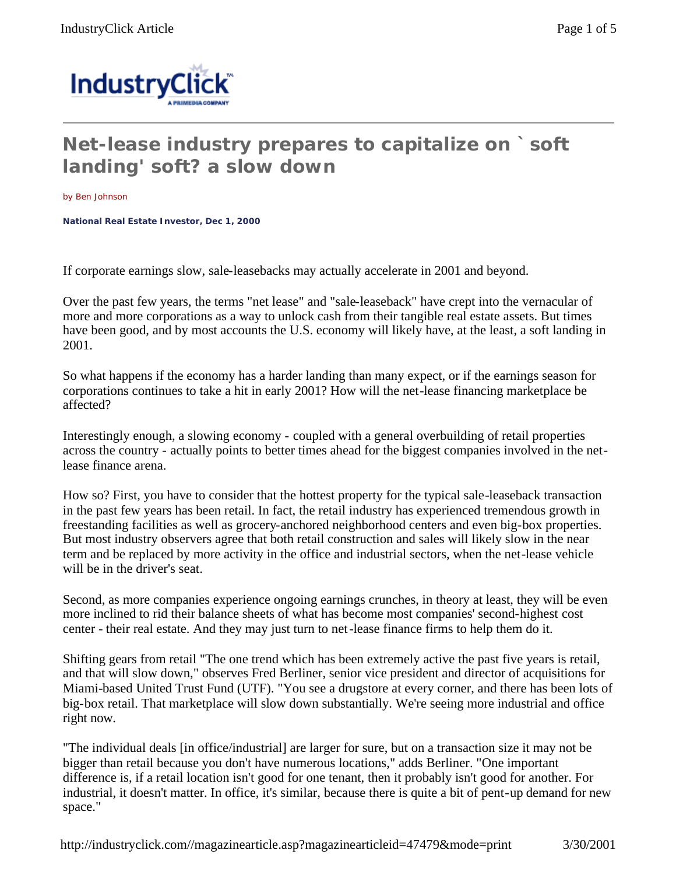

## **Net-lease industry prepares to capitalize on `soft landing' soft? a slow down**

by Ben Johnson

**National Real Estate Investor, Dec 1, 2000** 

If corporate earnings slow, sale-leasebacks may actually accelerate in 2001 and beyond.

Over the past few years, the terms "net lease" and "sale-leaseback" have crept into the vernacular of more and more corporations as a way to unlock cash from their tangible real estate assets. But times have been good, and by most accounts the U.S. economy will likely have, at the least, a soft landing in 2001.

So what happens if the economy has a harder landing than many expect, or if the earnings season for corporations continues to take a hit in early 2001? How will the net-lease financing marketplace be affected?

Interestingly enough, a slowing economy - coupled with a general overbuilding of retail properties across the country - actually points to better times ahead for the biggest companies involved in the netlease finance arena.

How so? First, you have to consider that the hottest property for the typical sale-leaseback transaction in the past few years has been retail. In fact, the retail industry has experienced tremendous growth in freestanding facilities as well as grocery-anchored neighborhood centers and even big-box properties. But most industry observers agree that both retail construction and sales will likely slow in the near term and be replaced by more activity in the office and industrial sectors, when the net-lease vehicle will be in the driver's seat.

Second, as more companies experience ongoing earnings crunches, in theory at least, they will be even more inclined to rid their balance sheets of what has become most companies' second-highest cost center - their real estate. And they may just turn to net-lease finance firms to help them do it.

Shifting gears from retail "The one trend which has been extremely active the past five years is retail, and that will slow down," observes Fred Berliner, senior vice president and director of acquisitions for Miami-based United Trust Fund (UTF). "You see a drugstore at every corner, and there has been lots of big-box retail. That marketplace will slow down substantially. We're seeing more industrial and office right now.

"The individual deals [in office/industrial] are larger for sure, but on a transaction size it may not be bigger than retail because you don't have numerous locations," adds Berliner. "One important difference is, if a retail location isn't good for one tenant, then it probably isn't good for another. For industrial, it doesn't matter. In office, it's similar, because there is quite a bit of pent-up demand for new space."

http://industryclick.com//magazinearticle.asp?magazinearticleid=47479&mode=print 3/30/2001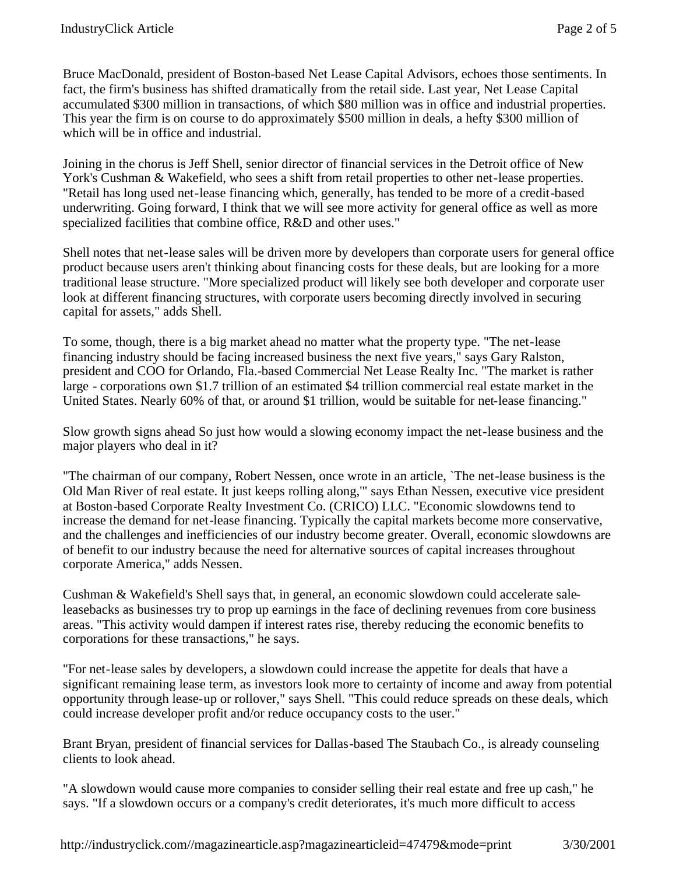Bruce MacDonald, president of Boston-based Net Lease Capital Advisors, echoes those sentiments. In fact, the firm's business has shifted dramatically from the retail side. Last year, Net Lease Capital accumulated \$300 million in transactions, of which \$80 million was in office and industrial properties. This year the firm is on course to do approximately \$500 million in deals, a hefty \$300 million of which will be in office and industrial.

Joining in the chorus is Jeff Shell, senior director of financial services in the Detroit office of New York's Cushman & Wakefield, who sees a shift from retail properties to other net-lease properties. "Retail has long used net-lease financing which, generally, has tended to be more of a credit-based underwriting. Going forward, I think that we will see more activity for general office as well as more specialized facilities that combine office, R&D and other uses."

Shell notes that net-lease sales will be driven more by developers than corporate users for general office product because users aren't thinking about financing costs for these deals, but are looking for a more traditional lease structure. "More specialized product will likely see both developer and corporate user look at different financing structures, with corporate users becoming directly involved in securing capital for assets," adds Shell.

To some, though, there is a big market ahead no matter what the property type. "The net-lease financing industry should be facing increased business the next five years," says Gary Ralston, president and COO for Orlando, Fla.-based Commercial Net Lease Realty Inc. "The market is rather large - corporations own \$1.7 trillion of an estimated \$4 trillion commercial real estate market in the United States. Nearly 60% of that, or around \$1 trillion, would be suitable for net-lease financing."

Slow growth signs ahead So just how would a slowing economy impact the net-lease business and the major players who deal in it?

"The chairman of our company, Robert Nessen, once wrote in an article, `The net-lease business is the Old Man River of real estate. It just keeps rolling along,'" says Ethan Nessen, executive vice president at Boston-based Corporate Realty Investment Co. (CRICO) LLC. "Economic slowdowns tend to increase the demand for net-lease financing. Typically the capital markets become more conservative, and the challenges and inefficiencies of our industry become greater. Overall, economic slowdowns are of benefit to our industry because the need for alternative sources of capital increases throughout corporate America," adds Nessen.

Cushman & Wakefield's Shell says that, in general, an economic slowdown could accelerate saleleasebacks as businesses try to prop up earnings in the face of declining revenues from core business areas. "This activity would dampen if interest rates rise, thereby reducing the economic benefits to corporations for these transactions," he says.

"For net-lease sales by developers, a slowdown could increase the appetite for deals that have a significant remaining lease term, as investors look more to certainty of income and away from potential opportunity through lease-up or rollover," says Shell. "This could reduce spreads on these deals, which could increase developer profit and/or reduce occupancy costs to the user."

Brant Bryan, president of financial services for Dallas-based The Staubach Co., is already counseling clients to look ahead.

"A slowdown would cause more companies to consider selling their real estate and free up cash," he says. "If a slowdown occurs or a company's credit deteriorates, it's much more difficult to access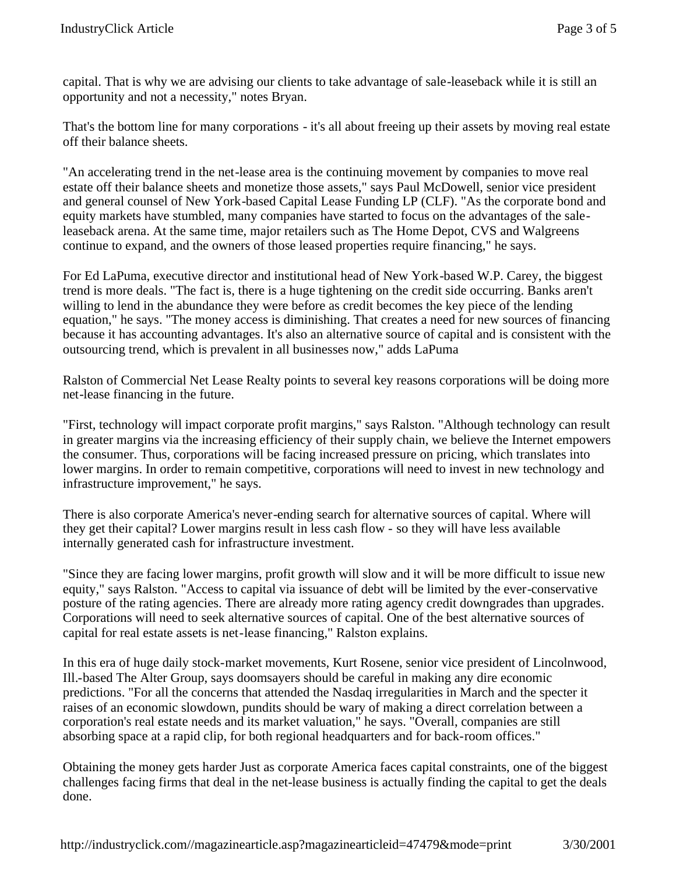capital. That is why we are advising our clients to take advantage of sale-leaseback while it is still an opportunity and not a necessity," notes Bryan.

That's the bottom line for many corporations - it's all about freeing up their assets by moving real estate off their balance sheets.

"An accelerating trend in the net-lease area is the continuing movement by companies to move real estate off their balance sheets and monetize those assets," says Paul McDowell, senior vice president and general counsel of New York-based Capital Lease Funding LP (CLF). "As the corporate bond and equity markets have stumbled, many companies have started to focus on the advantages of the saleleaseback arena. At the same time, major retailers such as The Home Depot, CVS and Walgreens continue to expand, and the owners of those leased properties require financing," he says.

For Ed LaPuma, executive director and institutional head of New York-based W.P. Carey, the biggest trend is more deals. "The fact is, there is a huge tightening on the credit side occurring. Banks aren't willing to lend in the abundance they were before as credit becomes the key piece of the lending equation," he says. "The money access is diminishing. That creates a need for new sources of financing because it has accounting advantages. It's also an alternative source of capital and is consistent with the outsourcing trend, which is prevalent in all businesses now," adds LaPuma

Ralston of Commercial Net Lease Realty points to several key reasons corporations will be doing more net-lease financing in the future.

"First, technology will impact corporate profit margins," says Ralston. "Although technology can result in greater margins via the increasing efficiency of their supply chain, we believe the Internet empowers the consumer. Thus, corporations will be facing increased pressure on pricing, which translates into lower margins. In order to remain competitive, corporations will need to invest in new technology and infrastructure improvement," he says.

There is also corporate America's never-ending search for alternative sources of capital. Where will they get their capital? Lower margins result in less cash flow - so they will have less available internally generated cash for infrastructure investment.

"Since they are facing lower margins, profit growth will slow and it will be more difficult to issue new equity," says Ralston. "Access to capital via issuance of debt will be limited by the ever-conservative posture of the rating agencies. There are already more rating agency credit downgrades than upgrades. Corporations will need to seek alternative sources of capital. One of the best alternative sources of capital for real estate assets is net-lease financing," Ralston explains.

In this era of huge daily stock-market movements, Kurt Rosene, senior vice president of Lincolnwood, Ill.-based The Alter Group, says doomsayers should be careful in making any dire economic predictions. "For all the concerns that attended the Nasdaq irregularities in March and the specter it raises of an economic slowdown, pundits should be wary of making a direct correlation between a corporation's real estate needs and its market valuation," he says. "Overall, companies are still absorbing space at a rapid clip, for both regional headquarters and for back-room offices."

Obtaining the money gets harder Just as corporate America faces capital constraints, one of the biggest challenges facing firms that deal in the net-lease business is actually finding the capital to get the deals done.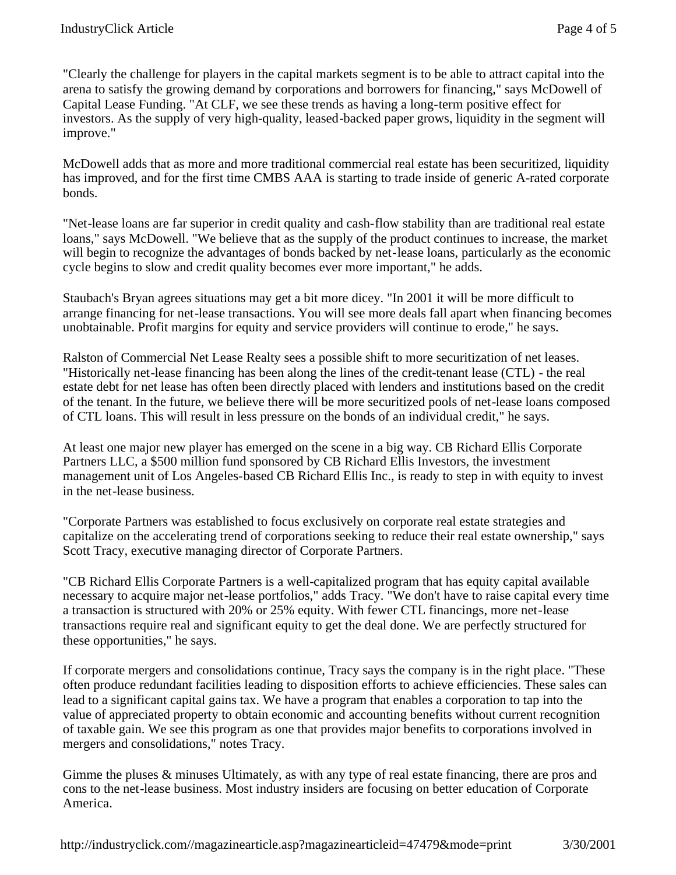"Clearly the challenge for players in the capital markets segment is to be able to attract capital into the arena to satisfy the growing demand by corporations and borrowers for financing," says McDowell of Capital Lease Funding. "At CLF, we see these trends as having a long-term positive effect for investors. As the supply of very high-quality, leased-backed paper grows, liquidity in the segment will improve."

McDowell adds that as more and more traditional commercial real estate has been securitized, liquidity has improved, and for the first time CMBS AAA is starting to trade inside of generic A-rated corporate bonds.

"Net-lease loans are far superior in credit quality and cash-flow stability than are traditional real estate loans," says McDowell. "We believe that as the supply of the product continues to increase, the market will begin to recognize the advantages of bonds backed by net-lease loans, particularly as the economic cycle begins to slow and credit quality becomes ever more important," he adds.

Staubach's Bryan agrees situations may get a bit more dicey. "In 2001 it will be more difficult to arrange financing for net-lease transactions. You will see more deals fall apart when financing becomes unobtainable. Profit margins for equity and service providers will continue to erode," he says.

Ralston of Commercial Net Lease Realty sees a possible shift to more securitization of net leases. "Historically net-lease financing has been along the lines of the credit-tenant lease (CTL) - the real estate debt for net lease has often been directly placed with lenders and institutions based on the credit of the tenant. In the future, we believe there will be more securitized pools of net-lease loans composed of CTL loans. This will result in less pressure on the bonds of an individual credit," he says.

At least one major new player has emerged on the scene in a big way. CB Richard Ellis Corporate Partners LLC, a \$500 million fund sponsored by CB Richard Ellis Investors, the investment management unit of Los Angeles-based CB Richard Ellis Inc., is ready to step in with equity to invest in the net-lease business.

"Corporate Partners was established to focus exclusively on corporate real estate strategies and capitalize on the accelerating trend of corporations seeking to reduce their real estate ownership," says Scott Tracy, executive managing director of Corporate Partners.

"CB Richard Ellis Corporate Partners is a well-capitalized program that has equity capital available necessary to acquire major net-lease portfolios," adds Tracy. "We don't have to raise capital every time a transaction is structured with 20% or 25% equity. With fewer CTL financings, more net-lease transactions require real and significant equity to get the deal done. We are perfectly structured for these opportunities," he says.

If corporate mergers and consolidations continue, Tracy says the company is in the right place. "These often produce redundant facilities leading to disposition efforts to achieve efficiencies. These sales can lead to a significant capital gains tax. We have a program that enables a corporation to tap into the value of appreciated property to obtain economic and accounting benefits without current recognition of taxable gain. We see this program as one that provides major benefits to corporations involved in mergers and consolidations," notes Tracy.

Gimme the pluses & minuses Ultimately, as with any type of real estate financing, there are pros and cons to the net-lease business. Most industry insiders are focusing on better education of Corporate America.